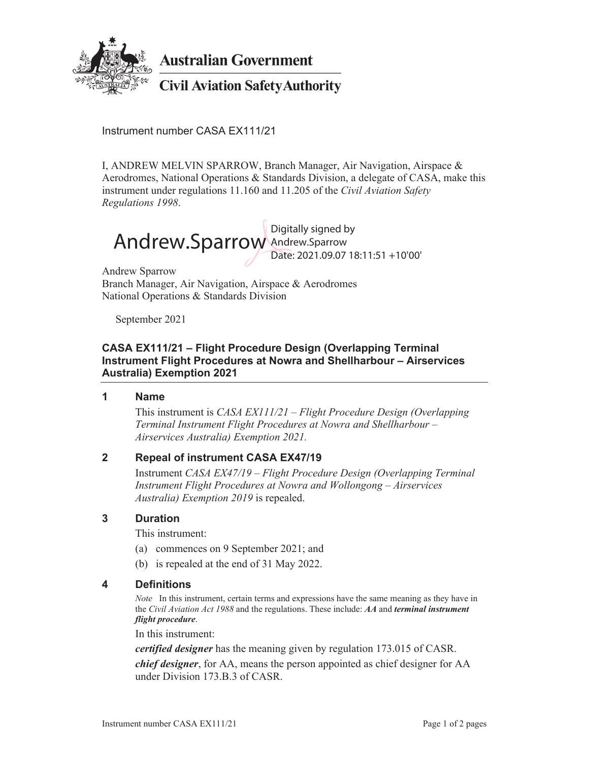

**Australian Government** 

# **Civil Aviation Safety Authority**

Instrument number CASA EX111/21

I, ANDREW MELVIN SPARROW, Branch Manager, Air Navigation, Airspace & Aerodromes, National Operations & Standards Division, a delegate of CASA, make this instrument under regulations 11.160 and 11.205 of the *Civil Aviation Safety Regulations 1998*.



Andrew Sparrow Branch Manager, Air Navigation, Airspace & Aerodromes National Operations & Standards Division

September 2021

### **CASA EX111/21 – Flight Procedure Design (Overlapping Terminal Instrument Flight Procedures at Nowra and Shellharbour – Airservices Australia) Exemption 2021**

#### **1 Name**

 This instrument is *CASA EX111/21 – Flight Procedure Design (Overlapping Terminal Instrument Flight Procedures at Nowra and Shellharbour – Airservices Australia) Exemption 2021.*

#### **2 Repeal of instrument CASA EX47/19**

 Instrument *CASA EX47/19 – Flight Procedure Design (Overlapping Terminal Instrument Flight Procedures at Nowra and Wollongong – Airservices Australia) Exemption 2019* is repealed.

#### **3 Duration**

This instrument:

- (a) commences on 9 September 2021; and
- (b) is repealed at the end of 31 May 2022.

#### **4 Definitions**

*Note* In this instrument, certain terms and expressions have the same meaning as they have in the *Civil Aviation Act 1988* and the regulations. These include: *AA* and *terminal instrument flight procedure*.

In this instrument:

*certified designer* has the meaning given by regulation 173.015 of CASR.

*chief designer*, for AA, means the person appointed as chief designer for AA under Division 173.B.3 of CASR.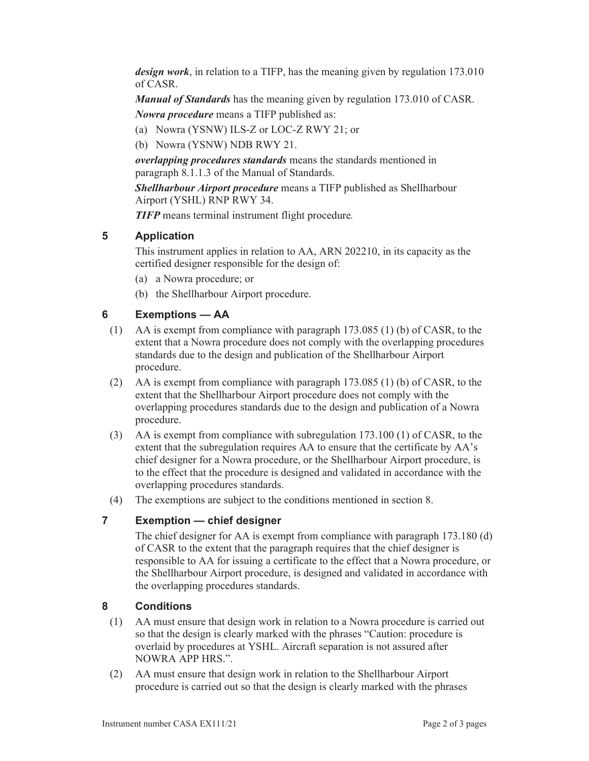*design work*, in relation to a TIFP, has the meaning given by regulation 173.010 of CASR.

*Manual of Standards* has the meaning given by regulation 173.010 of CASR.

*Nowra procedure* means a TIFP published as:

- (a) Nowra (YSNW) ILS-Z or LOC-Z RWY 21; or
- (b) Nowra (YSNW) NDB RWY 21.

*overlapping procedures standards* means the standards mentioned in paragraph 8.1.1.3 of the Manual of Standards.

*Shellharbour Airport procedure* means a TIFP published as Shellharbour Airport (YSHL) RNP RWY 34.

*TIFP* means terminal instrument flight procedure*.*

# **5 Application**

 This instrument applies in relation to AA, ARN 202210, in its capacity as the certified designer responsible for the design of:

- (a) a Nowra procedure; or
- (b) the Shellharbour Airport procedure.

# **6 Exemptions — AA**

- (1) AA is exempt from compliance with paragraph 173.085 (1) (b) of CASR, to the extent that a Nowra procedure does not comply with the overlapping procedures standards due to the design and publication of the Shellharbour Airport procedure.
- (2) AA is exempt from compliance with paragraph 173.085 (1) (b) of CASR, to the extent that the Shellharbour Airport procedure does not comply with the overlapping procedures standards due to the design and publication of a Nowra procedure.
- (3) AA is exempt from compliance with subregulation 173.100 (1) of CASR, to the extent that the subregulation requires AA to ensure that the certificate by AA's chief designer for a Nowra procedure, or the Shellharbour Airport procedure, is to the effect that the procedure is designed and validated in accordance with the overlapping procedures standards.
- (4) The exemptions are subject to the conditions mentioned in section 8.

## **7 Exemption — chief designer**

 The chief designer for AA is exempt from compliance with paragraph 173.180 (d) of CASR to the extent that the paragraph requires that the chief designer is responsible to AA for issuing a certificate to the effect that a Nowra procedure, or the Shellharbour Airport procedure, is designed and validated in accordance with the overlapping procedures standards.

## **8 Conditions**

- (1) AA must ensure that design work in relation to a Nowra procedure is carried out so that the design is clearly marked with the phrases "Caution: procedure is overlaid by procedures at YSHL. Aircraft separation is not assured after NOWRA APP HRS.".
- (2) AA must ensure that design work in relation to the Shellharbour Airport procedure is carried out so that the design is clearly marked with the phrases